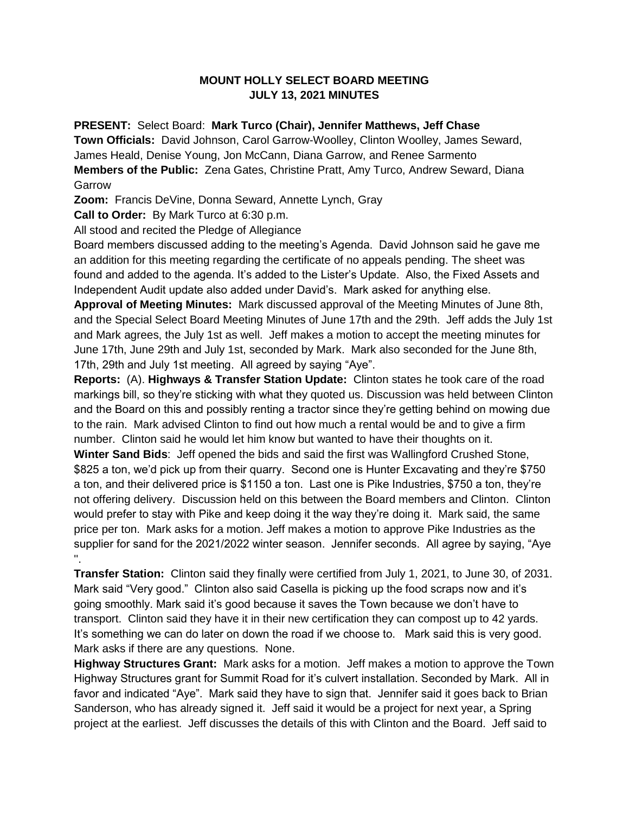## **MOUNT HOLLY SELECT BOARD MEETING JULY 13, 2021 MINUTES**

**PRESENT:** Select Board: **Mark Turco (Chair), Jennifer Matthews, Jeff Chase**

**Town Officials:** David Johnson, Carol Garrow-Woolley, Clinton Woolley, James Seward, James Heald, Denise Young, Jon McCann, Diana Garrow, and Renee Sarmento **Members of the Public:** Zena Gates, Christine Pratt, Amy Turco, Andrew Seward, Diana Garrow

**Zoom:** Francis DeVine, Donna Seward, Annette Lynch, Gray

**Call to Order:** By Mark Turco at 6:30 p.m.

All stood and recited the Pledge of Allegiance

Board members discussed adding to the meeting's Agenda. David Johnson said he gave me an addition for this meeting regarding the certificate of no appeals pending. The sheet was found and added to the agenda. It's added to the Lister's Update. Also, the Fixed Assets and Independent Audit update also added under David's. Mark asked for anything else.

**Approval of Meeting Minutes:** Mark discussed approval of the Meeting Minutes of June 8th, and the Special Select Board Meeting Minutes of June 17th and the 29th. Jeff adds the July 1st and Mark agrees, the July 1st as well. Jeff makes a motion to accept the meeting minutes for June 17th, June 29th and July 1st, seconded by Mark. Mark also seconded for the June 8th, 17th, 29th and July 1st meeting. All agreed by saying "Aye".

**Reports:** (A). **Highways & Transfer Station Update:** Clinton states he took care of the road markings bill, so they're sticking with what they quoted us. Discussion was held between Clinton and the Board on this and possibly renting a tractor since they're getting behind on mowing due to the rain. Mark advised Clinton to find out how much a rental would be and to give a firm number. Clinton said he would let him know but wanted to have their thoughts on it.

**Winter Sand Bids**: Jeff opened the bids and said the first was Wallingford Crushed Stone, \$825 a ton, we'd pick up from their quarry. Second one is Hunter Excavating and they're \$750 a ton, and their delivered price is \$1150 a ton. Last one is Pike Industries, \$750 a ton, they're not offering delivery. Discussion held on this between the Board members and Clinton. Clinton would prefer to stay with Pike and keep doing it the way they're doing it. Mark said, the same price per ton. Mark asks for a motion. Jeff makes a motion to approve Pike Industries as the supplier for sand for the 2021/2022 winter season. Jennifer seconds. All agree by saying, "Aye ''.

**Transfer Station:** Clinton said they finally were certified from July 1, 2021, to June 30, of 2031. Mark said "Very good." Clinton also said Casella is picking up the food scraps now and it's going smoothly. Mark said it's good because it saves the Town because we don't have to transport. Clinton said they have it in their new certification they can compost up to 42 yards. It's something we can do later on down the road if we choose to. Mark said this is very good. Mark asks if there are any questions. None.

**Highway Structures Grant:** Mark asks for a motion. Jeff makes a motion to approve the Town Highway Structures grant for Summit Road for it's culvert installation. Seconded by Mark. All in favor and indicated "Aye". Mark said they have to sign that. Jennifer said it goes back to Brian Sanderson, who has already signed it. Jeff said it would be a project for next year, a Spring project at the earliest. Jeff discusses the details of this with Clinton and the Board. Jeff said to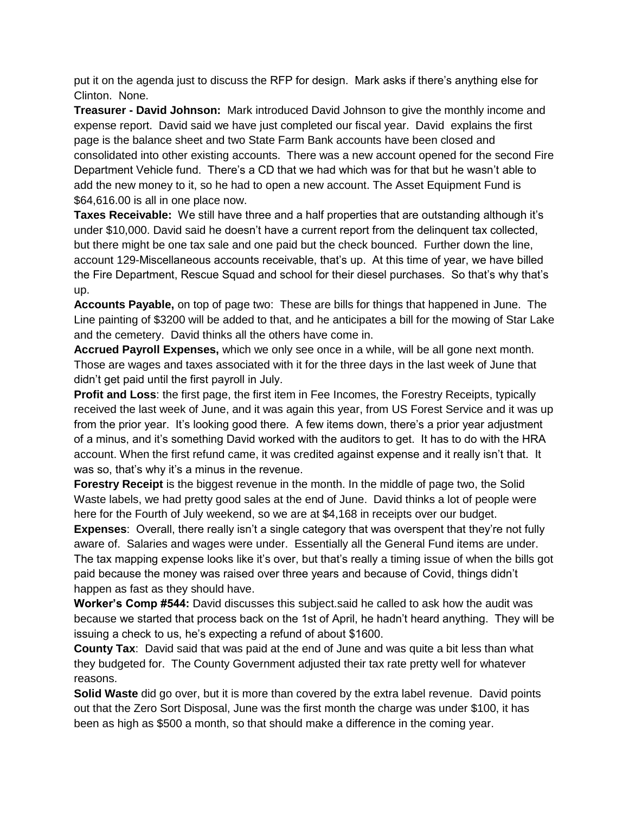put it on the agenda just to discuss the RFP for design. Mark asks if there's anything else for Clinton. None.

**Treasurer - David Johnson:** Mark introduced David Johnson to give the monthly income and expense report. David said we have just completed our fiscal year. David explains the first page is the balance sheet and two State Farm Bank accounts have been closed and consolidated into other existing accounts. There was a new account opened for the second Fire Department Vehicle fund. There's a CD that we had which was for that but he wasn't able to add the new money to it, so he had to open a new account. The Asset Equipment Fund is \$64,616.00 is all in one place now.

**Taxes Receivable:** We still have three and a half properties that are outstanding although it's under \$10,000. David said he doesn't have a current report from the delinquent tax collected, but there might be one tax sale and one paid but the check bounced. Further down the line, account 129-Miscellaneous accounts receivable, that's up. At this time of year, we have billed the Fire Department, Rescue Squad and school for their diesel purchases. So that's why that's up.

**Accounts Payable,** on top of page two: These are bills for things that happened in June. The Line painting of \$3200 will be added to that, and he anticipates a bill for the mowing of Star Lake and the cemetery. David thinks all the others have come in.

**Accrued Payroll Expenses,** which we only see once in a while, will be all gone next month. Those are wages and taxes associated with it for the three days in the last week of June that didn't get paid until the first payroll in July.

**Profit and Loss:** the first page, the first item in Fee Incomes, the Forestry Receipts, typically received the last week of June, and it was again this year, from US Forest Service and it was up from the prior year. It's looking good there. A few items down, there's a prior year adjustment of a minus, and it's something David worked with the auditors to get. It has to do with the HRA account. When the first refund came, it was credited against expense and it really isn't that. It was so, that's why it's a minus in the revenue.

**Forestry Receipt** is the biggest revenue in the month. In the middle of page two, the Solid Waste labels, we had pretty good sales at the end of June. David thinks a lot of people were here for the Fourth of July weekend, so we are at \$4,168 in receipts over our budget.

**Expenses**: Overall, there really isn't a single category that was overspent that they're not fully aware of. Salaries and wages were under. Essentially all the General Fund items are under. The tax mapping expense looks like it's over, but that's really a timing issue of when the bills got paid because the money was raised over three years and because of Covid, things didn't happen as fast as they should have.

**Worker's Comp #544:** David discusses this subject.said he called to ask how the audit was because we started that process back on the 1st of April, he hadn't heard anything. They will be issuing a check to us, he's expecting a refund of about \$1600.

**County Tax**: David said that was paid at the end of June and was quite a bit less than what they budgeted for. The County Government adjusted their tax rate pretty well for whatever reasons.

**Solid Waste** did go over, but it is more than covered by the extra label revenue. David points out that the Zero Sort Disposal, June was the first month the charge was under \$100, it has been as high as \$500 a month, so that should make a difference in the coming year.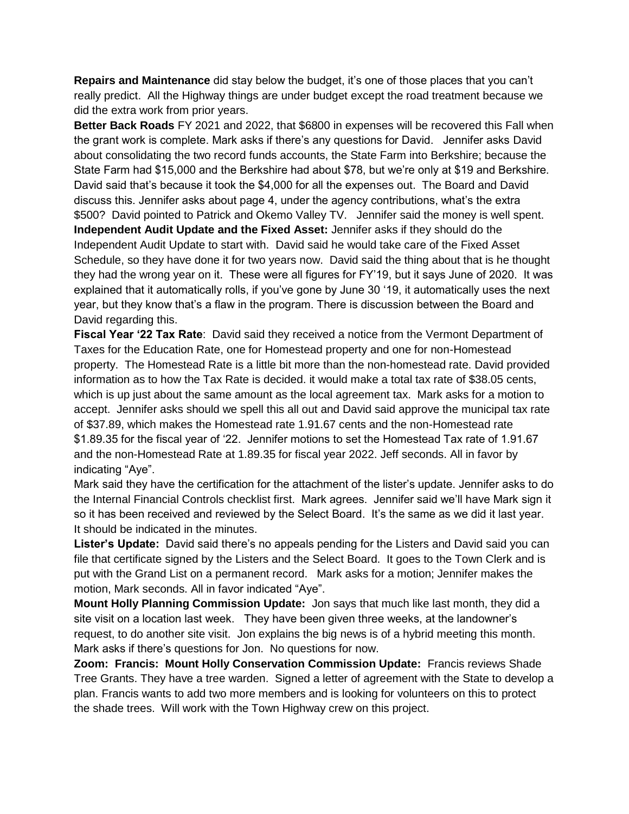**Repairs and Maintenance** did stay below the budget, it's one of those places that you can't really predict. All the Highway things are under budget except the road treatment because we did the extra work from prior years.

**Better Back Roads** FY 2021 and 2022, that \$6800 in expenses will be recovered this Fall when the grant work is complete. Mark asks if there's any questions for David. Jennifer asks David about consolidating the two record funds accounts, the State Farm into Berkshire; because the State Farm had \$15,000 and the Berkshire had about \$78, but we're only at \$19 and Berkshire. David said that's because it took the \$4,000 for all the expenses out. The Board and David discuss this. Jennifer asks about page 4, under the agency contributions, what's the extra \$500? David pointed to Patrick and Okemo Valley TV. Jennifer said the money is well spent. **Independent Audit Update and the Fixed Asset:** Jennifer asks if they should do the Independent Audit Update to start with. David said he would take care of the Fixed Asset Schedule, so they have done it for two years now. David said the thing about that is he thought they had the wrong year on it. These were all figures for FY'19, but it says June of 2020. It was explained that it automatically rolls, if you've gone by June 30 '19, it automatically uses the next year, but they know that's a flaw in the program. There is discussion between the Board and David regarding this.

**Fiscal Year '22 Tax Rate**: David said they received a notice from the Vermont Department of Taxes for the Education Rate, one for Homestead property and one for non-Homestead property. The Homestead Rate is a little bit more than the non-homestead rate. David provided information as to how the Tax Rate is decided. it would make a total tax rate of \$38.05 cents, which is up just about the same amount as the local agreement tax. Mark asks for a motion to accept. Jennifer asks should we spell this all out and David said approve the municipal tax rate of \$37.89, which makes the Homestead rate 1.91.67 cents and the non-Homestead rate \$1.89.35 for the fiscal year of '22. Jennifer motions to set the Homestead Tax rate of 1.91.67 and the non-Homestead Rate at 1.89.35 for fiscal year 2022. Jeff seconds. All in favor by indicating "Aye".

Mark said they have the certification for the attachment of the lister's update. Jennifer asks to do the Internal Financial Controls checklist first. Mark agrees. Jennifer said we'll have Mark sign it so it has been received and reviewed by the Select Board. It's the same as we did it last year. It should be indicated in the minutes.

**Lister's Update:** David said there's no appeals pending for the Listers and David said you can file that certificate signed by the Listers and the Select Board. It goes to the Town Clerk and is put with the Grand List on a permanent record. Mark asks for a motion; Jennifer makes the motion, Mark seconds. All in favor indicated "Aye".

**Mount Holly Planning Commission Update:** Jon says that much like last month, they did a site visit on a location last week. They have been given three weeks, at the landowner's request, to do another site visit. Jon explains the big news is of a hybrid meeting this month. Mark asks if there's questions for Jon. No questions for now.

**Zoom: Francis: Mount Holly Conservation Commission Update:** Francis reviews Shade Tree Grants. They have a tree warden. Signed a letter of agreement with the State to develop a plan. Francis wants to add two more members and is looking for volunteers on this to protect the shade trees. Will work with the Town Highway crew on this project.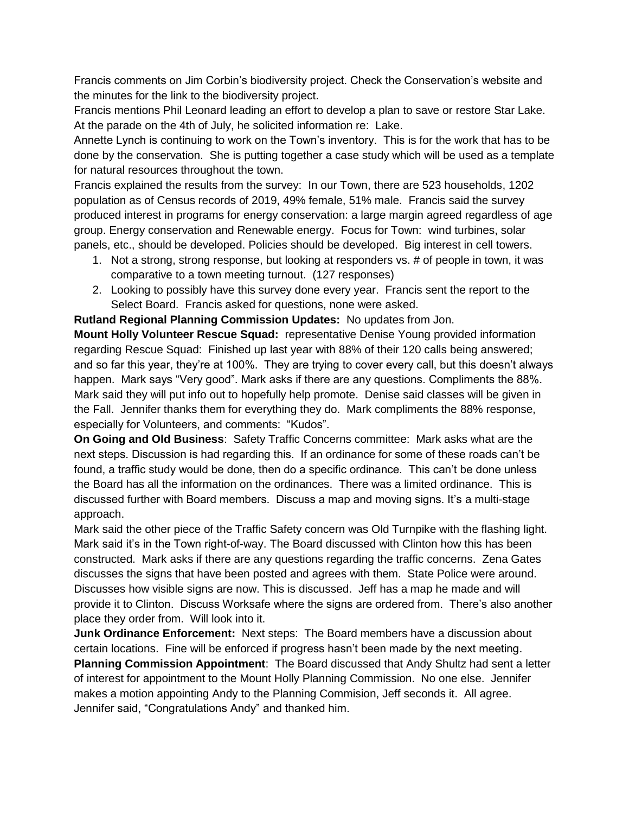Francis comments on Jim Corbin's biodiversity project. Check the Conservation's website and the minutes for the link to the biodiversity project.

Francis mentions Phil Leonard leading an effort to develop a plan to save or restore Star Lake. At the parade on the 4th of July, he solicited information re: Lake.

Annette Lynch is continuing to work on the Town's inventory. This is for the work that has to be done by the conservation. She is putting together a case study which will be used as a template for natural resources throughout the town.

Francis explained the results from the survey: In our Town, there are 523 households, 1202 population as of Census records of 2019, 49% female, 51% male. Francis said the survey produced interest in programs for energy conservation: a large margin agreed regardless of age group. Energy conservation and Renewable energy. Focus for Town: wind turbines, solar panels, etc., should be developed. Policies should be developed. Big interest in cell towers.

- 1. Not a strong, strong response, but looking at responders vs. # of people in town, it was comparative to a town meeting turnout. (127 responses)
- 2. Looking to possibly have this survey done every year. Francis sent the report to the Select Board. Francis asked for questions, none were asked.

**Rutland Regional Planning Commission Updates:** No updates from Jon.

**Mount Holly Volunteer Rescue Squad:** representative Denise Young provided information regarding Rescue Squad: Finished up last year with 88% of their 120 calls being answered; and so far this year, they're at 100%. They are trying to cover every call, but this doesn't always happen. Mark says "Very good". Mark asks if there are any questions. Compliments the 88%. Mark said they will put info out to hopefully help promote. Denise said classes will be given in the Fall. Jennifer thanks them for everything they do. Mark compliments the 88% response, especially for Volunteers, and comments: "Kudos".

**On Going and Old Business**: Safety Traffic Concerns committee: Mark asks what are the next steps. Discussion is had regarding this. If an ordinance for some of these roads can't be found, a traffic study would be done, then do a specific ordinance. This can't be done unless the Board has all the information on the ordinances. There was a limited ordinance. This is discussed further with Board members. Discuss a map and moving signs. It's a multi-stage approach.

Mark said the other piece of the Traffic Safety concern was Old Turnpike with the flashing light. Mark said it's in the Town right-of-way. The Board discussed with Clinton how this has been constructed. Mark asks if there are any questions regarding the traffic concerns. Zena Gates discusses the signs that have been posted and agrees with them. State Police were around. Discusses how visible signs are now. This is discussed. Jeff has a map he made and will provide it to Clinton. Discuss Worksafe where the signs are ordered from. There's also another place they order from. Will look into it.

**Junk Ordinance Enforcement:** Next steps: The Board members have a discussion about certain locations. Fine will be enforced if progress hasn't been made by the next meeting. **Planning Commission Appointment**: The Board discussed that Andy Shultz had sent a letter of interest for appointment to the Mount Holly Planning Commission. No one else. Jennifer makes a motion appointing Andy to the Planning Commision, Jeff seconds it. All agree. Jennifer said, "Congratulations Andy" and thanked him.